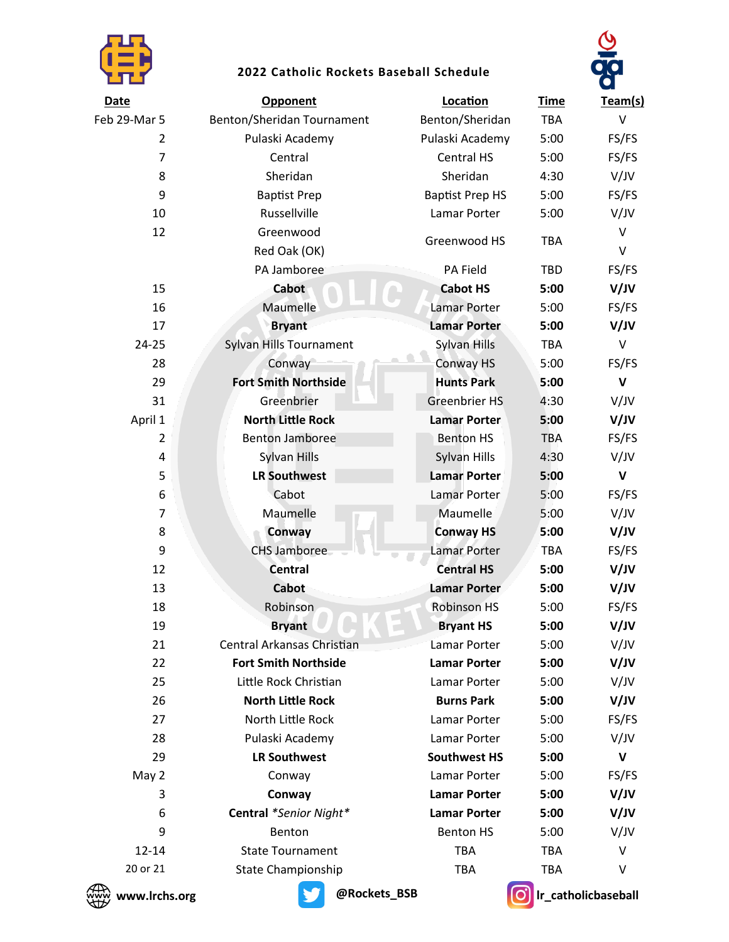

## **2022 Catholic Rockets Baseball Schedule**



| <b>Date</b>    | <b>Opponent</b>             | Location               | <b>Time</b> | Team(s)     |
|----------------|-----------------------------|------------------------|-------------|-------------|
| Feb 29-Mar 5   | Benton/Sheridan Tournament  | Benton/Sheridan        | <b>TBA</b>  | $\vee$      |
| $\overline{2}$ | Pulaski Academy             | Pulaski Academy        | 5:00        | FS/FS       |
| $\overline{7}$ | Central                     | Central HS             | 5:00        | FS/FS       |
| 8              | Sheridan                    | Sheridan               | 4:30        | V/JV        |
| 9              | <b>Baptist Prep</b>         | <b>Baptist Prep HS</b> | 5:00        | FS/FS       |
| 10             | Russellville                | Lamar Porter           | 5:00        | V/JV        |
| 12             | Greenwood                   |                        | <b>TBA</b>  | $\vee$      |
|                | Red Oak (OK)                | Greenwood HS           |             | $\vee$      |
|                | PA Jamboree                 | PA Field               | <b>TBD</b>  | FS/FS       |
| 15             | Cabot                       | <b>Cabot HS</b>        | 5:00        | V/JV        |
| 16             | Maumelle                    | <b>Lamar Porter</b>    | 5:00        | FS/FS       |
| 17             | <b>Bryant</b>               | <b>Lamar Porter</b>    | 5:00        | V/JV        |
| 24-25          | Sylvan Hills Tournament     | <b>Sylvan Hills</b>    | <b>TBA</b>  | V           |
| 28             | Conway                      | Conway HS              | 5:00        | FS/FS       |
| 29             | <b>Fort Smith Northside</b> | <b>Hunts Park</b>      | 5:00        | $\mathbf v$ |
| 31             | Greenbrier                  | <b>Greenbrier HS</b>   | 4:30        | V/JV        |
| April 1        | <b>North Little Rock</b>    | <b>Lamar Porter</b>    | 5:00        | V/JV        |
| $\overline{2}$ | <b>Benton Jamboree</b>      | <b>Benton HS</b>       | <b>TBA</b>  | FS/FS       |
| 4              | Sylvan Hills                | Sylvan Hills           | 4:30        | V/JV        |
| 5              | <b>LR Southwest</b>         | <b>Lamar Porter</b>    | 5:00        | $\mathbf v$ |
| 6              | Cabot                       | Lamar Porter           | 5:00        | FS/FS       |
| $\overline{7}$ | Maumelle                    | Maumelle               | 5:00        | V/JV        |
| 8              | Conway                      | <b>Conway HS</b>       | 5:00        | V/JV        |
| 9              | <b>CHS Jamboree</b>         | <b>Lamar Porter</b>    | <b>TBA</b>  | FS/FS       |
| 12             | Central                     | <b>Central HS</b>      | 5:00        | V/JV        |
| 13             | <b>Cabot</b>                | <b>Lamar Porter</b>    | 5:00        | V/JV        |
| 18             | Robinson                    | <b>Robinson HS</b>     | 5:00        | FS/FS       |
| 19             | <b>Bryant</b>               | <b>Bryant HS</b>       | 5:00        | V/JV        |
| 21             | Central Arkansas Christian  | Lamar Porter           | 5:00        | V/JV        |
| 22             | <b>Fort Smith Northside</b> | <b>Lamar Porter</b>    | 5:00        | V/JV        |
| 25             | Little Rock Christian       | Lamar Porter           | 5:00        | V/JV        |
| 26             | <b>North Little Rock</b>    | <b>Burns Park</b>      | 5:00        | V/JV        |
| 27             | North Little Rock           | Lamar Porter           | 5:00        | FS/FS       |
| 28             | Pulaski Academy             | Lamar Porter           | 5:00        | V/JV        |
| 29             | <b>LR Southwest</b>         | <b>Southwest HS</b>    | 5:00        | V           |
| May 2          | Conway                      | Lamar Porter           | 5:00        | FS/FS       |
| 3              | Conway                      | <b>Lamar Porter</b>    | 5:00        | V/JV        |
| 6              | Central *Senior Night*      | <b>Lamar Porter</b>    | 5:00        | V/JV        |
| 9              | Benton                      | <b>Benton HS</b>       | 5:00        | V/JV        |
| 12-14          | <b>State Tournament</b>     | <b>TBA</b>             | <b>TBA</b>  | V           |
| 20 or 21       | State Championship          | <b>TBA</b>             | <b>TBA</b>  | V           |
|                |                             |                        |             |             |



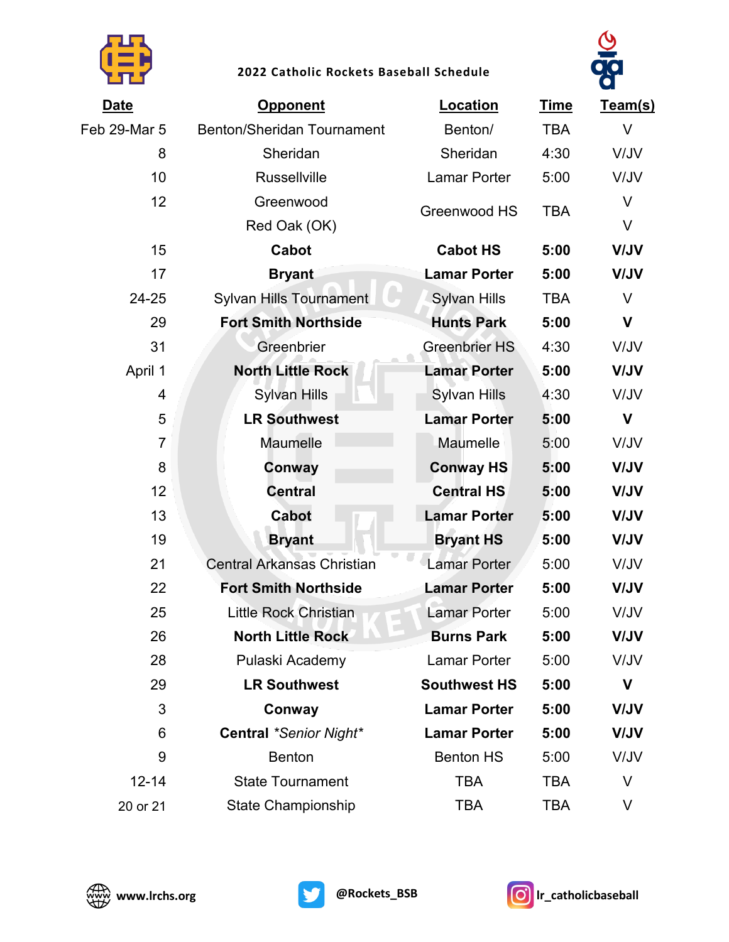

## **2022 Catholic Rockets Baseball Schedule**



| Date           | <b>Opponent</b>                   | Location             | <b>Time</b> | Team(s)     |
|----------------|-----------------------------------|----------------------|-------------|-------------|
| Feb 29-Mar 5   | <b>Benton/Sheridan Tournament</b> | Benton/              | <b>TBA</b>  | V           |
| 8              | Sheridan                          | Sheridan             | 4:30        | V/JV        |
| 10             | <b>Russellville</b>               | <b>Lamar Porter</b>  | 5:00        | V/JV        |
| 12             | Greenwood                         | Greenwood HS         | <b>TBA</b>  | V           |
|                | Red Oak (OK)                      |                      |             | V           |
| 15             | Cabot                             | <b>Cabot HS</b>      | 5:00        | <b>VIJV</b> |
| 17             | <b>Bryant</b>                     | <b>Lamar Porter</b>  | 5:00        | <b>VIJV</b> |
| 24-25          | <b>Sylvan Hills Tournament</b>    | <b>Sylvan Hills</b>  | <b>TBA</b>  | V           |
| 29             | <b>Fort Smith Northside</b>       | <b>Hunts Park</b>    | 5:00        | $\mathbf V$ |
| 31             | Greenbrier                        | <b>Greenbrier HS</b> | 4:30        | V/JV        |
| April 1        | <b>North Little Rock</b>          | <b>Lamar Porter</b>  | 5:00        | <b>VIJV</b> |
| 4              | <b>Sylvan Hills</b>               | <b>Sylvan Hills</b>  | 4:30        | V/JV        |
| 5              | <b>LR Southwest</b>               | <b>Lamar Porter</b>  | 5:00        | $\mathbf V$ |
| $\overline{7}$ | <b>Maumelle</b>                   | Maumelle             | 5:00        | V/JV        |
| 8              | Conway                            | <b>Conway HS</b>     | 5:00        | <b>VIJV</b> |
| 12             | <b>Central</b>                    | <b>Central HS</b>    | 5:00        | <b>VIJV</b> |
| 13             | <b>Cabot</b>                      | <b>Lamar Porter</b>  | 5:00        | <b>VIJV</b> |
| 19             | <b>Bryant</b>                     | <b>Bryant HS</b>     | 5:00        | <b>VIJV</b> |
| 21             | <b>Central Arkansas Christian</b> | <b>Lamar Porter</b>  | 5:00        | V/JV        |
| 22             | <b>Fort Smith Northside</b>       | <b>Lamar Porter</b>  | 5:00        | <b>VIJV</b> |
| 25             | <b>Little Rock Christian</b>      | <b>Lamar Porter</b>  | 5:00        | V/JV        |
| 26             | <b>North Little Rock</b>          | <b>Burns Park</b>    | 5:00        | <b>VIJV</b> |
| 28             | Pulaski Academy                   | <b>Lamar Porter</b>  | 5:00        | V/JV        |
| 29             | <b>LR Southwest</b>               | <b>Southwest HS</b>  | 5:00        | V           |
| 3              | Conway                            | <b>Lamar Porter</b>  | 5:00        | VIJV        |
| 6              | <b>Central *Senior Night*</b>     | <b>Lamar Porter</b>  | 5:00        | <b>VIJV</b> |
| 9              | <b>Benton</b>                     | <b>Benton HS</b>     | 5:00        | V/JV        |
| $12 - 14$      | <b>State Tournament</b>           | <b>TBA</b>           | <b>TBA</b>  | V           |
| 20 or 21       | <b>State Championship</b>         | <b>TBA</b>           | <b>TBA</b>  | V           |